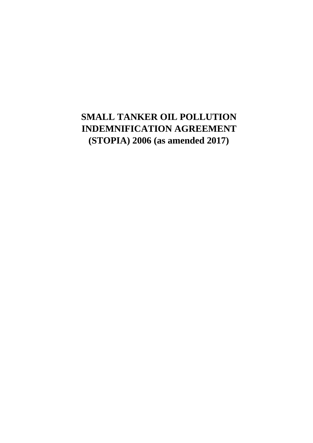# **SMALL TANKER OIL POLLUTION INDEMNIFICATION AGREEMENT (STOPIA) 2006 (as amended 2017)**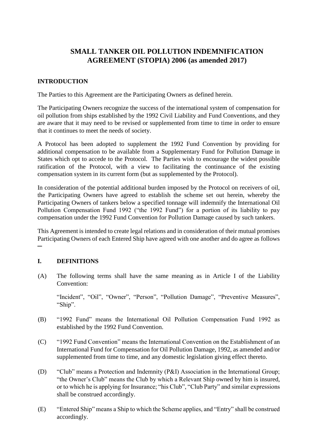# **SMALL TANKER OIL POLLUTION INDEMNIFICATION AGREEMENT (STOPIA) 2006 (as amended 2017)**

### **INTRODUCTION**

The Parties to this Agreement are the Participating Owners as defined herein.

The Participating Owners recognize the success of the international system of compensation for oil pollution from ships established by the 1992 Civil Liability and Fund Conventions, and they are aware that it may need to be revised or supplemented from time to time in order to ensure that it continues to meet the needs of society.

A Protocol has been adopted to supplement the 1992 Fund Convention by providing for additional compensation to be available from a Supplementary Fund for Pollution Damage in States which opt to accede to the Protocol. The Parties wish to encourage the widest possible ratification of the Protocol, with a view to facilitating the continuance of the existing compensation system in its current form (but as supplemented by the Protocol).

In consideration of the potential additional burden imposed by the Protocol on receivers of oil, the Participating Owners have agreed to establish the scheme set out herein, whereby the Participating Owners of tankers below a specified tonnage will indemnify the International Oil Pollution Compensation Fund 1992 ("the 1992 Fund") for a portion of its liability to pay compensation under the 1992 Fund Convention for Pollution Damage caused by such tankers.

This Agreement is intended to create legal relations and in consideration of their mutual promises Participating Owners of each Entered Ship have agreed with one another and do agree as follows —

### **I. DEFINITIONS**

(A) The following terms shall have the same meaning as in Article I of the Liability Convention:

"Incident", "Oil", "Owner", "Person", "Pollution Damage", "Preventive Measures", "Ship".

- (B) "1992 Fund" means the International Oil Pollution Compensation Fund 1992 as established by the 1992 Fund Convention.
- (C) "1992 Fund Convention" means the International Convention on the Establishment of an International Fund for Compensation for Oil Pollution Damage, 1992, as amended and/or supplemented from time to time, and any domestic legislation giving effect thereto.
- (D) "Club" means a Protection and Indemnity (P&I) Association in the International Group; "the Owner's Club" means the Club by which a Relevant Ship owned by him is insured, or to which he is applying for Insurance; "his Club", "Club Party" and similar expressions shall be construed accordingly.
- (E) "Entered Ship" means a Ship to which the Scheme applies, and "Entry" shall be construed accordingly.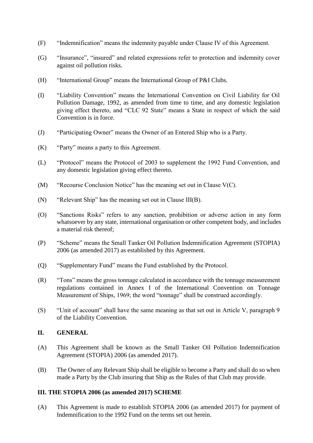- (F) "Indemnification" means the indemnity payable under Clause IV of this Agreement.
- (G) "Insurance", "insured" and related expressions refer to protection and indemnity cover against oil pollution risks.
- (H) "International Group" means the International Group of P&I Clubs.
- (I) "Liability Convention" means the International Convention on Civil Liability for Oil Pollution Damage, 1992, as amended from time to time, and any domestic legislation giving effect thereto, and "CLC 92 State" means a State in respect of which the said Convention is in force.
- (J) "Participating Owner" means the Owner of an Entered Ship who is a Party.
- (K) "Party" means a party to this Agreement.
- (L) "Protocol" means the Protocol of 2003 to supplement the 1992 Fund Convention, and any domestic legislation giving effect thereto.
- (M) "Recourse Conclusion Notice" has the meaning set out in Clause  $V(C)$ .
- (N) "Relevant Ship" has the meaning set out in Clause III(B).
- (O) "Sanctions Risks" refers to any sanction, prohibition or adverse action in any form whatsoever by any state, international organisation or other competent body, and includes a material risk thereof;
- (P) "Scheme" means the Small Tanker Oil Pollution Indemnification Agreement (STOPIA) 2006 (as amended 2017) as established by this Agreement.
- (Q) "Supplementary Fund" means the Fund established by the Protocol.
- (R) "Tons" means the gross tonnage calculated in accordance with the tonnage measurement regulations contained in Annex I of the International Convention on Tonnage Measurement of Ships, 1969; the word "tonnage" shall be construed accordingly.
- (S) "Unit of account" shall have the same meaning as that set out in Article V, paragraph 9 of the Liability Convention.

### **II. GENERAL**

- (A) This Agreement shall be known as the Small Tanker Oil Pollution Indemnification Agreement (STOPIA) 2006 (as amended 2017).
- (B) The Owner of any Relevant Ship shall be eligible to become a Party and shall do so when made a Party by the Club insuring that Ship as the Rules of that Club may provide.

### **III. THE STOPIA 2006 (as amended 2017) SCHEME**

(A) This Agreement is made to establish STOPIA 2006 (as amended 2017) for payment of Indemnification to the 1992 Fund on the terms set out herein.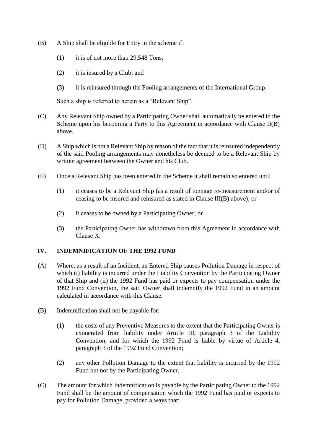- (B) A Ship shall be eligible for Entry in the scheme if:
	- (1) it is of not more than 29,548 Tons;
	- (2) it is insured by a Club; and
	- (3) it is reinsured through the Pooling arrangements of the International Group.

Such a ship is referred to herein as a "Relevant Ship".

- (C) Any Relevant Ship owned by a Participating Owner shall automatically be entered in the Scheme upon his becoming a Party to this Agreement in accordance with Clause II(B) above.
- (D) A Ship which is not a Relevant Ship by reason of the fact that it is reinsured independently of the said Pooling arrangements may nonetheless be deemed to be a Relevant Ship by written agreement between the Owner and his Club.
- (E) Once a Relevant Ship has been entered in the Scheme it shall remain so entered until
	- (1) it ceases to be a Relevant Ship (as a result of tonnage re-measurement and/or of ceasing to be insured and reinsured as stated in Clause III(B) above); or
	- (2) it ceases to be owned by a Participating Owner; or
	- (3) the Participating Owner has withdrawn from this Agreement in accordance with Clause X.

### **IV. INDEMNIFICATION OF THE 1992 FUND**

- (A) Where, as a result of an Incident, an Entered Ship causes Pollution Damage in respect of which (i) liability is incurred under the Liability Convention by the Participating Owner of that Ship and (ii) the 1992 Fund has paid or expects to pay compensation under the 1992 Fund Convention, the said Owner shall indemnify the 1992 Fund in an amount calculated in accordance with this Clause.
- (B) Indemnification shall not be payable for:
	- (1) the costs of any Preventive Measures to the extent that the Participating Owner is exonerated from liability under Article III, paragraph 3 of the Liability Convention, and for which the 1992 Fund is liable by virtue of Article 4, paragraph 3 of the 1992 Fund Convention;
	- (2) any other Pollution Damage to the extent that liability is incurred by the 1992 Fund but not by the Participating Owner.
- (C) The amount for which Indemnification is payable by the Participating Owner to the 1992 Fund shall be the amount of compensation which the 1992 Fund has paid or expects to pay for Pollution Damage, provided always that: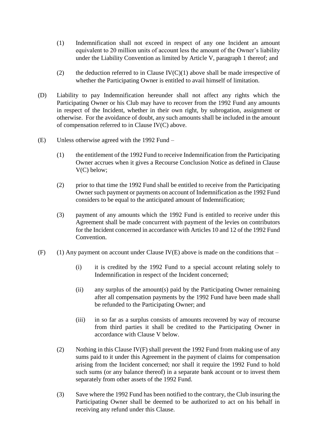- (1) Indemnification shall not exceed in respect of any one Incident an amount equivalent to 20 million units of account less the amount of the Owner's liability under the Liability Convention as limited by Article V, paragraph 1 thereof; and
- (2) the deduction referred to in Clause  $IV(C)(1)$  above shall be made irrespective of whether the Participating Owner is entitled to avail himself of limitation.
- (D) Liability to pay Indemnification hereunder shall not affect any rights which the Participating Owner or his Club may have to recover from the 1992 Fund any amounts in respect of the Incident, whether in their own right, by subrogation, assignment or otherwise. For the avoidance of doubt, any such amounts shall be included in the amount of compensation referred to in Clause IV(C) above.
- (E) Unless otherwise agreed with the 1992 Fund
	- (1) the entitlement of the 1992 Fund to receive Indemnification from the Participating Owner accrues when it gives a Recourse Conclusion Notice as defined in Clause V(C) below;
	- (2) prior to that time the 1992 Fund shall be entitled to receive from the Participating Owner such payment or payments on account of Indemnification as the 1992 Fund considers to be equal to the anticipated amount of Indemnification;
	- (3) payment of any amounts which the 1992 Fund is entitled to receive under this Agreement shall be made concurrent with payment of the levies on contributors for the Incident concerned in accordance with Articles 10 and 12 of the 1992 Fund Convention.
- (F) (1) Any payment on account under Clause IV(E) above is made on the conditions that
	- (i) it is credited by the 1992 Fund to a special account relating solely to Indemnification in respect of the Incident concerned;
	- (ii) any surplus of the amount(s) paid by the Participating Owner remaining after all compensation payments by the 1992 Fund have been made shall be refunded to the Participating Owner; and
	- (iii) in so far as a surplus consists of amounts recovered by way of recourse from third parties it shall be credited to the Participating Owner in accordance with Clause V below.
	- (2) Nothing in this Clause IV(F) shall prevent the 1992 Fund from making use of any sums paid to it under this Agreement in the payment of claims for compensation arising from the Incident concerned; nor shall it require the 1992 Fund to hold such sums (or any balance thereof) in a separate bank account or to invest them separately from other assets of the 1992 Fund.
	- (3) Save where the 1992 Fund has been notified to the contrary, the Club insuring the Participating Owner shall be deemed to be authorized to act on his behalf in receiving any refund under this Clause.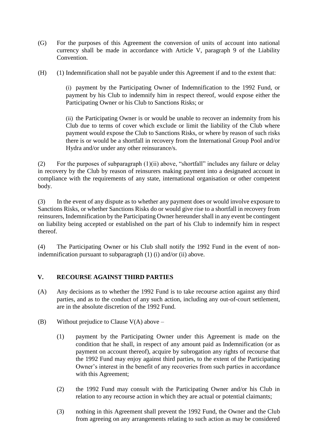- (G) For the purposes of this Agreement the conversion of units of account into national currency shall be made in accordance with Article V, paragraph 9 of the Liability Convention.
- (H) (1) Indemnification shall not be payable under this Agreement if and to the extent that:

(i) payment by the Participating Owner of Indemnification to the 1992 Fund, or payment by his Club to indemnify him in respect thereof, would expose either the Participating Owner or his Club to Sanctions Risks; or

(ii) the Participating Owner is or would be unable to recover an indemnity from his Club due to terms of cover which exclude or limit the liability of the Club where payment would expose the Club to Sanctions Risks, or where by reason of such risks there is or would be a shortfall in recovery from the International Group Pool and/or Hydra and/or under any other reinsurance/s.

(2) For the purposes of subparagraph (1)(ii) above, "shortfall" includes any failure or delay in recovery by the Club by reason of reinsurers making payment into a designated account in compliance with the requirements of any state, international organisation or other competent body.

(3) In the event of any dispute as to whether any payment does or would involve exposure to Sanctions Risks, or whether Sanctions Risks do or would give rise to a shortfall in recovery from reinsurers, Indemnification by the Participating Owner hereunder shall in any event be contingent on liability being accepted or established on the part of his Club to indemnify him in respect thereof.

(4) The Participating Owner or his Club shall notify the 1992 Fund in the event of nonindemnification pursuant to subparagraph (1) (i) and/or (ii) above.

### **V. RECOURSE AGAINST THIRD PARTIES**

- (A) Any decisions as to whether the 1992 Fund is to take recourse action against any third parties, and as to the conduct of any such action, including any out-of-court settlement, are in the absolute discretion of the 1992 Fund.
- (B) Without prejudice to Clause  $V(A)$  above
	- (1) payment by the Participating Owner under this Agreement is made on the condition that he shall, in respect of any amount paid as Indemnification (or as payment on account thereof), acquire by subrogation any rights of recourse that the 1992 Fund may enjoy against third parties, to the extent of the Participating Owner's interest in the benefit of any recoveries from such parties in accordance with this Agreement;
	- (2) the 1992 Fund may consult with the Participating Owner and/or his Club in relation to any recourse action in which they are actual or potential claimants;
	- (3) nothing in this Agreement shall prevent the 1992 Fund, the Owner and the Club from agreeing on any arrangements relating to such action as may be considered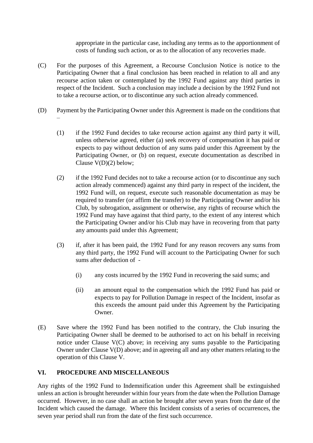appropriate in the particular case, including any terms as to the apportionment of costs of funding such action, or as to the allocation of any recoveries made.

- (C) For the purposes of this Agreement, a Recourse Conclusion Notice is notice to the Participating Owner that a final conclusion has been reached in relation to all and any recourse action taken or contemplated by the 1992 Fund against any third parties in respect of the Incident. Such a conclusion may include a decision by the 1992 Fund not to take a recourse action, or to discontinue any such action already commenced.
- (D) Payment by the Participating Owner under this Agreement is made on the conditions that –
	- (1) if the 1992 Fund decides to take recourse action against any third party it will, unless otherwise agreed, either (a) seek recovery of compensation it has paid or expects to pay without deduction of any sums paid under this Agreement by the Participating Owner, or (b) on request, execute documentation as described in Clause V(D)(2) below;
	- (2) if the 1992 Fund decides not to take a recourse action (or to discontinue any such action already commenced) against any third party in respect of the incident, the 1992 Fund will, on request, execute such reasonable documentation as may be required to transfer (or affirm the transfer) to the Participating Owner and/or his Club, by subrogation, assignment or otherwise, any rights of recourse which the 1992 Fund may have against that third party, to the extent of any interest which the Participating Owner and/or his Club may have in recovering from that party any amounts paid under this Agreement;
	- (3) if, after it has been paid, the 1992 Fund for any reason recovers any sums from any third party, the 1992 Fund will account to the Participating Owner for such sums after deduction of -
		- (i) any costs incurred by the 1992 Fund in recovering the said sums; and
		- (ii) an amount equal to the compensation which the 1992 Fund has paid or expects to pay for Pollution Damage in respect of the Incident, insofar as this exceeds the amount paid under this Agreement by the Participating Owner.
- (E) Save where the 1992 Fund has been notified to the contrary, the Club insuring the Participating Owner shall be deemed to be authorised to act on his behalf in receiving notice under Clause V(C) above; in receiving any sums payable to the Participating Owner under Clause V(D) above; and in agreeing all and any other matters relating to the operation of this Clause V.

### **VI. PROCEDURE AND MISCELLANEOUS**

Any rights of the 1992 Fund to Indemnification under this Agreement shall be extinguished unless an action is brought hereunder within four years from the date when the Pollution Damage occurred. However, in no case shall an action be brought after seven years from the date of the Incident which caused the damage. Where this Incident consists of a series of occurrences, the seven year period shall run from the date of the first such occurrence.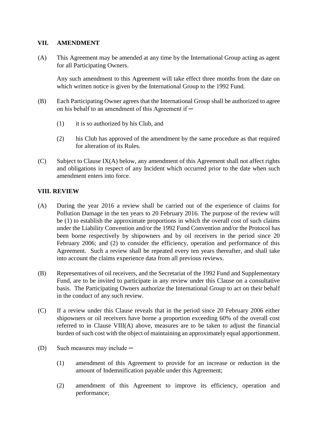### **VII. AMENDMENT**

(A) This Agreement may be amended at any time by the International Group acting as agent for all Participating Owners.

Any such amendment to this Agreement will take effect three months from the date on which written notice is given by the International Group to the 1992 Fund.

- (B) Each Participating Owner agrees that the International Group shall be authorized to agree on his behalf to an amendment of this Agreement if —
	- (1) it is so authorized by his Club, and
	- (2) his Club has approved of the amendment by the same procedure as that required for alteration of its Rules.
- (C) Subject to Clause IX(A) below, any amendment of this Agreement shall not affect rights and obligations in respect of any Incident which occurred prior to the date when such amendment enters into force.

### **VIII. REVIEW**

- (A) During the year 2016 a review shall be carried out of the experience of claims for Pollution Damage in the ten years to 20 February 2016. The purpose of the review will be (1) to establish the approximate proportions in which the overall cost of such claims under the Liability Convention and/or the 1992 Fund Convention and/or the Protocol has been borne respectively by shipowners and by oil receivers in the period since 20 February 2006; and (2) to consider the efficiency, operation and performance of this Agreement. Such a review shall be repeated every ten years thereafter, and shall take into account the claims experience data from all previous reviews.
- (B) Representatives of oil receivers, and the Secretariat of the 1992 Fund and Supplementary Fund, are to be invited to participate in any review under this Clause on a consultative basis. The Participating Owners authorize the International Group to act on their behalf in the conduct of any such review.
- (C) If a review under this Clause reveals that in the period since 20 February 2006 either shipowners or oil receivers have borne a proportion exceeding 60% of the overall cost referred to in Clause VIII(A) above, measures are to be taken to adjust the financial burden of such cost with the object of maintaining an approximately equal apportionment.
- $(D)$  Such measures may include  $-$ 
	- (1) amendment of this Agreement to provide for an increase or reduction in the amount of Indemnification payable under this Agreement;
	- (2) amendment of this Agreement to improve its efficiency, operation and performance;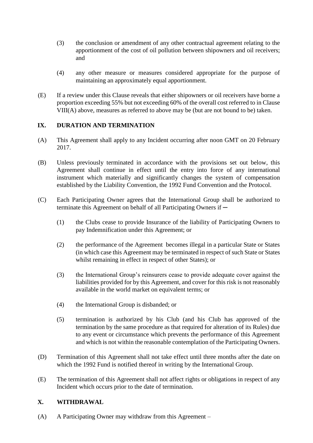- (3) the conclusion or amendment of any other contractual agreement relating to the apportionment of the cost of oil pollution between shipowners and oil receivers; and
- (4) any other measure or measures considered appropriate for the purpose of maintaining an approximately equal apportionment.
- (E) If a review under this Clause reveals that either shipowners or oil receivers have borne a proportion exceeding 55% but not exceeding 60% of the overall cost referred to in Clause VIII(A) above, measures as referred to above may be (but are not bound to be) taken.

### **IX. DURATION AND TERMINATION**

- (A) This Agreement shall apply to any Incident occurring after noon GMT on 20 February 2017.
- (B) Unless previously terminated in accordance with the provisions set out below, this Agreement shall continue in effect until the entry into force of any international instrument which materially and significantly changes the system of compensation established by the Liability Convention, the 1992 Fund Convention and the Protocol.
- (C) Each Participating Owner agrees that the International Group shall be authorized to terminate this Agreement on behalf of all Participating Owners if —
	- (1) the Clubs cease to provide Insurance of the liability of Participating Owners to pay Indemnification under this Agreement; or
	- (2) the performance of the Agreement becomes illegal in a particular State or States (in which case this Agreement may be terminated in respect of such State or States whilst remaining in effect in respect of other States); or
	- (3) the International Group's reinsurers cease to provide adequate cover against the liabilities provided for by this Agreement, and cover for this risk is not reasonably available in the world market on equivalent terms; or
	- (4) the International Group is disbanded; or
	- (5) termination is authorized by his Club (and his Club has approved of the termination by the same procedure as that required for alteration of its Rules) due to any event or circumstance which prevents the performance of this Agreement and which is not within the reasonable contemplation of the Participating Owners.
- (D) Termination of this Agreement shall not take effect until three months after the date on which the 1992 Fund is notified thereof in writing by the International Group.
- (E) The termination of this Agreement shall not affect rights or obligations in respect of any Incident which occurs prior to the date of termination.

## **X. WITHDRAWAL**

(A) A Participating Owner may withdraw from this Agreement –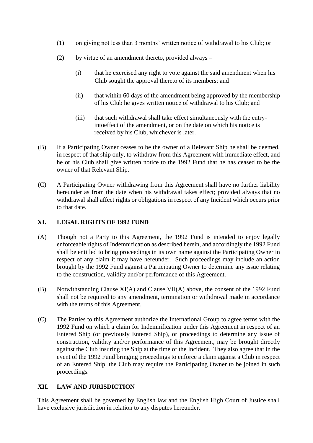- (1) on giving not less than 3 months' written notice of withdrawal to his Club; or
- (2) by virtue of an amendment thereto, provided always
	- (i) that he exercised any right to vote against the said amendment when his Club sought the approval thereto of its members; and
	- (ii) that within 60 days of the amendment being approved by the membership of his Club he gives written notice of withdrawal to his Club; and
	- (iii) that such withdrawal shall take effect simultaneously with the entryintoeffect of the amendment, or on the date on which his notice is received by his Club, whichever is later.
- (B) If a Participating Owner ceases to be the owner of a Relevant Ship he shall be deemed, in respect of that ship only, to withdraw from this Agreement with immediate effect, and he or his Club shall give written notice to the 1992 Fund that he has ceased to be the owner of that Relevant Ship.
- (C) A Participating Owner withdrawing from this Agreement shall have no further liability hereunder as from the date when his withdrawal takes effect; provided always that no withdrawal shall affect rights or obligations in respect of any Incident which occurs prior to that date.

### **XI. LEGAL RIGHTS OF 1992 FUND**

- (A) Though not a Party to this Agreement, the 1992 Fund is intended to enjoy legally enforceable rights of Indemnification as described herein, and accordingly the 1992 Fund shall be entitled to bring proceedings in its own name against the Participating Owner in respect of any claim it may have hereunder. Such proceedings may include an action brought by the 1992 Fund against a Participating Owner to determine any issue relating to the construction, validity and/or performance of this Agreement.
- (B) Notwithstanding Clause XI(A) and Clause VII(A) above, the consent of the 1992 Fund shall not be required to any amendment, termination or withdrawal made in accordance with the terms of this Agreement.
- (C) The Parties to this Agreement authorize the International Group to agree terms with the 1992 Fund on which a claim for Indemnification under this Agreement in respect of an Entered Ship (or previously Entered Ship), or proceedings to determine any issue of construction, validity and/or performance of this Agreement, may be brought directly against the Club insuring the Ship at the time of the Incident. They also agree that in the event of the 1992 Fund bringing proceedings to enforce a claim against a Club in respect of an Entered Ship, the Club may require the Participating Owner to be joined in such proceedings.

### **XII. LAW AND JURISDICTION**

This Agreement shall be governed by English law and the English High Court of Justice shall have exclusive jurisdiction in relation to any disputes hereunder.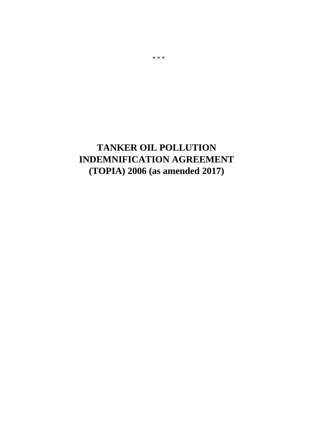# **TANKER OIL POLLUTION INDEMNIFICATION AGREEMENT (TOPIA) 2006 (as amended 2017)**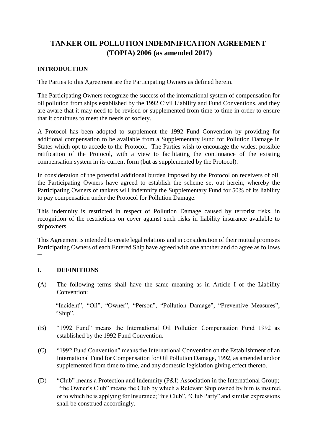# **TANKER OIL POLLUTION INDEMNIFICATION AGREEMENT (TOPIA) 2006 (as amended 2017)**

### **INTRODUCTION**

The Parties to this Agreement are the Participating Owners as defined herein.

The Participating Owners recognize the success of the international system of compensation for oil pollution from ships established by the 1992 Civil Liability and Fund Conventions, and they are aware that it may need to be revised or supplemented from time to time in order to ensure that it continues to meet the needs of society.

A Protocol has been adopted to supplement the 1992 Fund Convention by providing for additional compensation to be available from a Supplementary Fund for Pollution Damage in States which opt to accede to the Protocol. The Parties wish to encourage the widest possible ratification of the Protocol, with a view to facilitating the continuance of the existing compensation system in its current form (but as supplemented by the Protocol).

In consideration of the potential additional burden imposed by the Protocol on receivers of oil, the Participating Owners have agreed to establish the scheme set out herein, whereby the Participating Owners of tankers will indemnify the Supplementary Fund for 50% of its liability to pay compensation under the Protocol for Pollution Damage.

This indemnity is restricted in respect of Pollution Damage caused by terrorist risks, in recognition of the restrictions on cover against such risks in liability insurance available to shipowners.

This Agreement is intended to create legal relations and in consideration of their mutual promises Participating Owners of each Entered Ship have agreed with one another and do agree as follows ─

### **I. DEFINITIONS**

(A) The following terms shall have the same meaning as in Article I of the Liability Convention:

"Incident", "Oil", "Owner", "Person", "Pollution Damage", "Preventive Measures", "Ship".

- (B) "1992 Fund" means the International Oil Pollution Compensation Fund 1992 as established by the 1992 Fund Convention.
- (C) "1992 Fund Convention" means the International Convention on the Establishment of an International Fund for Compensation for Oil Pollution Damage, 1992, as amended and/or supplemented from time to time, and any domestic legislation giving effect thereto.
- (D) "Club" means a Protection and Indemnity (P&I) Association in the International Group; "the Owner's Club" means the Club by which a Relevant Ship owned by him is insured, or to which he is applying for Insurance; "his Club", "Club Party" and similar expressions shall be construed accordingly.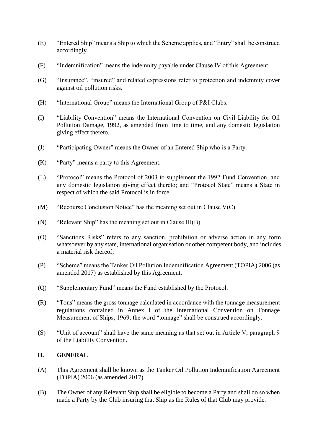- (E) "Entered Ship" means a Ship to which the Scheme applies, and "Entry" shall be construed accordingly.
- (F) "Indemnification" means the indemnity payable under Clause IV of this Agreement.
- (G) "Insurance", "insured" and related expressions refer to protection and indemnity cover against oil pollution risks.
- (H) "International Group" means the International Group of P&I Clubs.
- (I) "Liability Convention" means the International Convention on Civil Liability for Oil Pollution Damage, 1992, as amended from time to time, and any domestic legislation giving effect thereto.
- (J) "Participating Owner" means the Owner of an Entered Ship who is a Party.
- (K) "Party" means a party to this Agreement.
- (L) "Protocol" means the Protocol of 2003 to supplement the 1992 Fund Convention, and any domestic legislation giving effect thereto; and "Protocol State" means a State in respect of which the said Protocol is in force.
- (M) "Recourse Conclusion Notice" has the meaning set out in Clause  $V(C)$ .
- (N) "Relevant Ship" has the meaning set out in Clause III(B).
- (O) "Sanctions Risks" refers to any sanction, prohibition or adverse action in any form whatsoever by any state, international organisation or other competent body, and includes a material risk thereof;
- (P) "Scheme" means the Tanker Oil Pollution Indemnification Agreement (TOPIA) 2006 (as amended 2017) as established by this Agreement.
- (Q) "Supplementary Fund" means the Fund established by the Protocol.
- (R) "Tons" means the gross tonnage calculated in accordance with the tonnage measurement regulations contained in Annex I of the International Convention on Tonnage Measurement of Ships, 1969; the word "tonnage" shall be construed accordingly.
- (S) "Unit of account" shall have the same meaning as that set out in Article V, paragraph 9 of the Liability Convention.

### **II. GENERAL**

- (A) This Agreement shall be known as the Tanker Oil Pollution Indemnification Agreement (TOPIA) 2006 (as amended 2017).
- (B) The Owner of any Relevant Ship shall be eligible to become a Party and shall do so when made a Party by the Club insuring that Ship as the Rules of that Club may provide.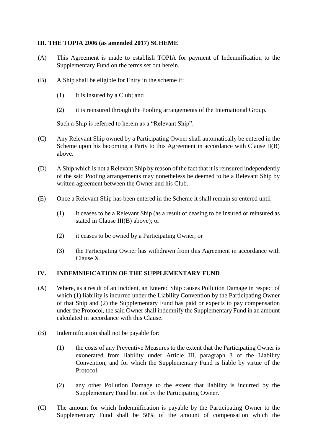### **III. THE TOPIA 2006 (as amended 2017) SCHEME**

- (A) This Agreement is made to establish TOPIA for payment of Indemnification to the Supplementary Fund on the terms set out herein.
- (B) A Ship shall be eligible for Entry in the scheme if:
	- (1) it is insured by a Club; and
	- (2) it is reinsured through the Pooling arrangements of the International Group.

Such a Ship is referred to herein as a "Relevant Ship".

- (C) Any Relevant Ship owned by a Participating Owner shall automatically be entered in the Scheme upon his becoming a Party to this Agreement in accordance with Clause II(B) above.
- (D) A Ship which is not a Relevant Ship by reason of the fact that it is reinsured independently of the said Pooling arrangements may nonetheless be deemed to be a Relevant Ship by written agreement between the Owner and his Club.
- (E) Once a Relevant Ship has been entered in the Scheme it shall remain so entered until
	- (1) it ceases to be a Relevant Ship (as a result of ceasing to be insured or reinsured as stated in Clause III(B) above); or
	- (2) it ceases to be owned by a Participating Owner; or
	- (3) the Participating Owner has withdrawn from this Agreement in accordance with Clause X.

### **IV. INDEMNIFICATION OF THE SUPPLEMENTARY FUND**

- (A) Where, as a result of an Incident, an Entered Ship causes Pollution Damage in respect of which (1) liability is incurred under the Liability Convention by the Participating Owner of that Ship and (2) the Supplementary Fund has paid or expects to pay compensation under the Protocol, the said Owner shall indemnify the Supplementary Fund in an amount calculated in accordance with this Clause.
- (B) Indemnification shall not be payable for:
	- (1) the costs of any Preventive Measures to the extent that the Participating Owner is exonerated from liability under Article III, paragraph 3 of the Liability Convention, and for which the Supplementary Fund is liable by virtue of the Protocol;
	- (2) any other Pollution Damage to the extent that liability is incurred by the Supplementary Fund but not by the Participating Owner.
- (C) The amount for which Indemnification is payable by the Participating Owner to the Supplementary Fund shall be 50% of the amount of compensation which the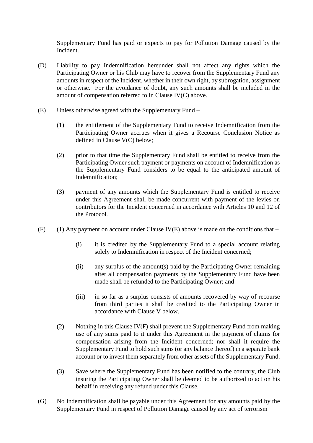Supplementary Fund has paid or expects to pay for Pollution Damage caused by the Incident.

- (D) Liability to pay Indemnification hereunder shall not affect any rights which the Participating Owner or his Club may have to recover from the Supplementary Fund any amounts in respect of the Incident, whether in their own right, by subrogation, assignment or otherwise. For the avoidance of doubt, any such amounts shall be included in the amount of compensation referred to in Clause IV(C) above.
- (E) Unless otherwise agreed with the Supplementary Fund
	- (1) the entitlement of the Supplementary Fund to receive Indemnification from the Participating Owner accrues when it gives a Recourse Conclusion Notice as defined in Clause V(C) below;
	- (2) prior to that time the Supplementary Fund shall be entitled to receive from the Participating Owner such payment or payments on account of Indemnification as the Supplementary Fund considers to be equal to the anticipated amount of Indemnification;
	- (3) payment of any amounts which the Supplementary Fund is entitled to receive under this Agreement shall be made concurrent with payment of the levies on contributors for the Incident concerned in accordance with Articles 10 and 12 of the Protocol.
- (F) (1) Any payment on account under Clause IV(E) above is made on the conditions that
	- (i) it is credited by the Supplementary Fund to a special account relating solely to Indemnification in respect of the Incident concerned;
	- (ii) any surplus of the amount(s) paid by the Participating Owner remaining after all compensation payments by the Supplementary Fund have been made shall be refunded to the Participating Owner; and
	- (iii) in so far as a surplus consists of amounts recovered by way of recourse from third parties it shall be credited to the Participating Owner in accordance with Clause V below.
	- (2) Nothing in this Clause IV(F) shall prevent the Supplementary Fund from making use of any sums paid to it under this Agreement in the payment of claims for compensation arising from the Incident concerned; nor shall it require the Supplementary Fund to hold such sums (or any balance thereof) in a separate bank account or to invest them separately from other assets of the Supplementary Fund.
	- (3) Save where the Supplementary Fund has been notified to the contrary, the Club insuring the Participating Owner shall be deemed to be authorized to act on his behalf in receiving any refund under this Clause.
- (G) No Indemnification shall be payable under this Agreement for any amounts paid by the Supplementary Fund in respect of Pollution Damage caused by any act of terrorism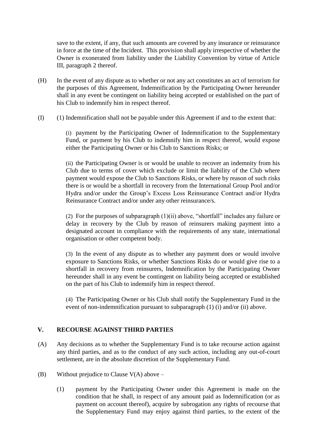save to the extent, if any, that such amounts are covered by any insurance or reinsurance in force at the time of the Incident. This provision shall apply irrespective of whether the Owner is exonerated from liability under the Liability Convention by virtue of Article III, paragraph 2 thereof.

- (H) In the event of any dispute as to whether or not any act constitutes an act of terrorism for the purposes of this Agreement, Indemnification by the Participating Owner hereunder shall in any event be contingent on liability being accepted or established on the part of his Club to indemnify him in respect thereof.
- (I) (1) Indemnification shall not be payable under this Agreement if and to the extent that:

(i) payment by the Participating Owner of Indemnification to the Supplementary Fund, or payment by his Club to indemnify him in respect thereof, would expose either the Participating Owner or his Club to Sanctions Risks; or

(ii) the Participating Owner is or would be unable to recover an indemnity from his Club due to terms of cover which exclude or limit the liability of the Club where payment would expose the Club to Sanctions Risks, or where by reason of such risks there is or would be a shortfall in recovery from the International Group Pool and/or Hydra and/or under the Group's Excess Loss Reinsurance Contract and/or Hydra Reinsurance Contract and/or under any other reinsurance/s.

(2) For the purposes of subparagraph (1)(ii) above, "shortfall" includes any failure or delay in recovery by the Club by reason of reinsurers making payment into a designated account in compliance with the requirements of any state, international organisation or other competent body.

(3) In the event of any dispute as to whether any payment does or would involve exposure to Sanctions Risks, or whether Sanctions Risks do or would give rise to a shortfall in recovery from reinsurers, Indemnification by the Participating Owner hereunder shall in any event be contingent on liability being accepted or established on the part of his Club to indemnify him in respect thereof.

(4) The Participating Owner or his Club shall notify the Supplementary Fund in the event of non-indemnification pursuant to subparagraph (1) (i) and/or (ii) above.

### **V. RECOURSE AGAINST THIRD PARTIES**

- (A) Any decisions as to whether the Supplementary Fund is to take recourse action against any third parties, and as to the conduct of any such action, including any out-of-court settlement, are in the absolute discretion of the Supplementary Fund.
- (B) Without prejudice to Clause  $V(A)$  above
	- (1) payment by the Participating Owner under this Agreement is made on the condition that he shall, in respect of any amount paid as Indemnification (or as payment on account thereof), acquire by subrogation any rights of recourse that the Supplementary Fund may enjoy against third parties, to the extent of the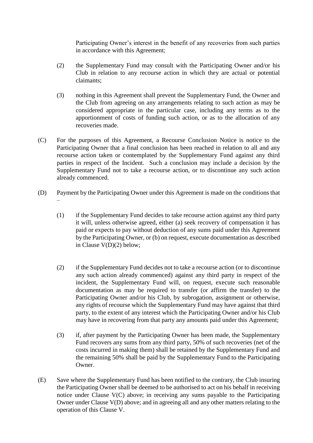Participating Owner's interest in the benefit of any recoveries from such parties in accordance with this Agreement;

- (2) the Supplementary Fund may consult with the Participating Owner and/or his Club in relation to any recourse action in which they are actual or potential claimants;
- (3) nothing in this Agreement shall prevent the Supplementary Fund, the Owner and the Club from agreeing on any arrangements relating to such action as may be considered appropriate in the particular case, including any terms as to the apportionment of costs of funding such action, or as to the allocation of any recoveries made.
- (C) For the purposes of this Agreement, a Recourse Conclusion Notice is notice to the Participating Owner that a final conclusion has been reached in relation to all and any recourse action taken or contemplated by the Supplementary Fund against any third parties in respect of the Incident. Such a conclusion may include a decision by the Supplementary Fund not to take a recourse action, or to discontinue any such action already commenced.
- (D) Payment by the Participating Owner under this Agreement is made on the conditions that –
	- (1) if the Supplementary Fund decides to take recourse action against any third party it will, unless otherwise agreed, either (a) seek recovery of compensation it has paid or expects to pay without deduction of any sums paid under this Agreement by the Participating Owner, or (b) on request, execute documentation as described in Clause V(D)(2) below;
	- (2) if the Supplementary Fund decides not to take a recourse action (or to discontinue any such action already commenced) against any third party in respect of the incident, the Supplementary Fund will, on request, execute such reasonable documentation as may be required to transfer (or affirm the transfer) to the Participating Owner and/or his Club, by subrogation, assignment or otherwise, any rights of recourse which the Supplementary Fund may have against that third party, to the extent of any interest which the Participating Owner and/or his Club may have in recovering from that party any amounts paid under this Agreement;
	- (3) if, after payment by the Participating Owner has been made, the Supplementary Fund recovers any sums from any third party, 50% of such recoveries (net of the costs incurred in making them) shall be retained by the Supplementary Fund and the remaining 50% shall be paid by the Supplementary Fund to the Participating Owner.
- (E) Save where the Supplementary Fund has been notified to the contrary, the Club insuring the Participating Owner shall be deemed to be authorised to act on his behalf in receiving notice under Clause V(C) above; in receiving any sums payable to the Participating Owner under Clause V(D) above; and in agreeing all and any other matters relating to the operation of this Clause V.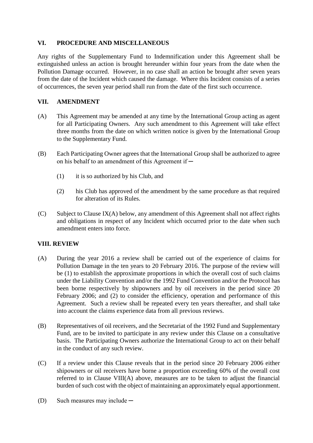### **VI. PROCEDURE AND MISCELLANEOUS**

Any rights of the Supplementary Fund to Indemnification under this Agreement shall be extinguished unless an action is brought hereunder within four years from the date when the Pollution Damage occurred. However, in no case shall an action be brought after seven years from the date of the Incident which caused the damage. Where this Incident consists of a series of occurrences, the seven year period shall run from the date of the first such occurrence.

## **VII. AMENDMENT**

- (A) This Agreement may be amended at any time by the International Group acting as agent for all Participating Owners. Any such amendment to this Agreement will take effect three months from the date on which written notice is given by the International Group to the Supplementary Fund.
- (B) Each Participating Owner agrees that the International Group shall be authorized to agree on his behalf to an amendment of this Agreement if  $-$ 
	- (1) it is so authorized by his Club, and
	- (2) his Club has approved of the amendment by the same procedure as that required for alteration of its Rules.
- (C) Subject to Clause IX(A) below, any amendment of this Agreement shall not affect rights and obligations in respect of any Incident which occurred prior to the date when such amendment enters into force.

# **VIII. REVIEW**

- (A) During the year 2016 a review shall be carried out of the experience of claims for Pollution Damage in the ten years to 20 February 2016. The purpose of the review will be (1) to establish the approximate proportions in which the overall cost of such claims under the Liability Convention and/or the 1992 Fund Convention and/or the Protocol has been borne respectively by shipowners and by oil receivers in the period since 20 February 2006; and (2) to consider the efficiency, operation and performance of this Agreement. Such a review shall be repeated every ten years thereafter, and shall take into account the claims experience data from all previous reviews.
- (B) Representatives of oil receivers, and the Secretariat of the 1992 Fund and Supplementary Fund, are to be invited to participate in any review under this Clause on a consultative basis. The Participating Owners authorize the International Group to act on their behalf in the conduct of any such review.
- (C) If a review under this Clause reveals that in the period since 20 February 2006 either shipowners or oil receivers have borne a proportion exceeding 60% of the overall cost referred to in Clause VIII(A) above, measures are to be taken to adjust the financial burden of such cost with the object of maintaining an approximately equal apportionment.
- (D) Such measures may include  $-$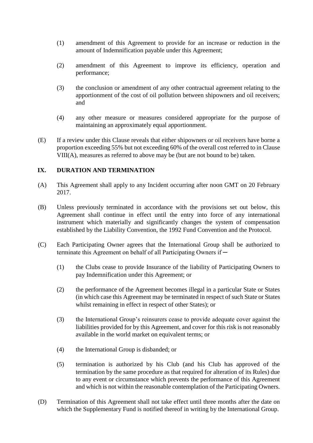- (1) amendment of this Agreement to provide for an increase or reduction in the amount of Indemnification payable under this Agreement;
- (2) amendment of this Agreement to improve its efficiency, operation and performance;
- (3) the conclusion or amendment of any other contractual agreement relating to the apportionment of the cost of oil pollution between shipowners and oil receivers; and
- (4) any other measure or measures considered appropriate for the purpose of maintaining an approximately equal apportionment.
- (E) If a review under this Clause reveals that either shipowners or oil receivers have borne a proportion exceeding 55% but not exceeding 60% of the overall cost referred to in Clause VIII(A), measures as referred to above may be (but are not bound to be) taken.

### **IX. DURATION AND TERMINATION**

- (A) This Agreement shall apply to any Incident occurring after noon GMT on 20 February 2017.
- (B) Unless previously terminated in accordance with the provisions set out below, this Agreement shall continue in effect until the entry into force of any international instrument which materially and significantly changes the system of compensation established by the Liability Convention, the 1992 Fund Convention and the Protocol.
- (C) Each Participating Owner agrees that the International Group shall be authorized to terminate this Agreement on behalf of all Participating Owners if  $-$ 
	- (1) the Clubs cease to provide Insurance of the liability of Participating Owners to pay Indemnification under this Agreement; or
	- (2) the performance of the Agreement becomes illegal in a particular State or States (in which case this Agreement may be terminated in respect of such State or States whilst remaining in effect in respect of other States); or
	- (3) the International Group's reinsurers cease to provide adequate cover against the liabilities provided for by this Agreement, and cover for this risk is not reasonably available in the world market on equivalent terms; or
	- (4) the International Group is disbanded; or
	- (5) termination is authorized by his Club (and his Club has approved of the termination by the same procedure as that required for alteration of its Rules) due to any event or circumstance which prevents the performance of this Agreement and which is not within the reasonable contemplation of the Participating Owners.
- (D) Termination of this Agreement shall not take effect until three months after the date on which the Supplementary Fund is notified thereof in writing by the International Group.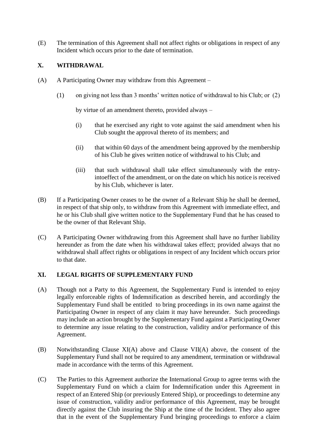(E) The termination of this Agreement shall not affect rights or obligations in respect of any Incident which occurs prior to the date of termination.

## **X. WITHDRAWAL**

- (A) A Participating Owner may withdraw from this Agreement
	- (1) on giving not less than 3 months' written notice of withdrawal to his Club; or (2)

by virtue of an amendment thereto, provided always –

- (i) that he exercised any right to vote against the said amendment when his Club sought the approval thereto of its members; and
- (ii) that within 60 days of the amendment being approved by the membership of his Club he gives written notice of withdrawal to his Club; and
- (iii) that such withdrawal shall take effect simultaneously with the entryintoeffect of the amendment, or on the date on which his notice is received by his Club, whichever is later.
- (B) If a Participating Owner ceases to be the owner of a Relevant Ship he shall be deemed, in respect of that ship only, to withdraw from this Agreement with immediate effect, and he or his Club shall give written notice to the Supplementary Fund that he has ceased to be the owner of that Relevant Ship.
- (C) A Participating Owner withdrawing from this Agreement shall have no further liability hereunder as from the date when his withdrawal takes effect; provided always that no withdrawal shall affect rights or obligations in respect of any Incident which occurs prior to that date.

### **XI. LEGAL RIGHTS OF SUPPLEMENTARY FUND**

- (A) Though not a Party to this Agreement, the Supplementary Fund is intended to enjoy legally enforceable rights of Indemnification as described herein, and accordingly the Supplementary Fund shall be entitled to bring proceedings in its own name against the Participating Owner in respect of any claim it may have hereunder. Such proceedings may include an action brought by the Supplementary Fund against a Participating Owner to determine any issue relating to the construction, validity and/or performance of this Agreement.
- (B) Notwithstanding Clause XI(A) above and Clause VII(A) above, the consent of the Supplementary Fund shall not be required to any amendment, termination or withdrawal made in accordance with the terms of this Agreement.
- (C) The Parties to this Agreement authorize the International Group to agree terms with the Supplementary Fund on which a claim for Indemnification under this Agreement in respect of an Entered Ship (or previously Entered Ship), or proceedings to determine any issue of construction, validity and/or performance of this Agreement, may be brought directly against the Club insuring the Ship at the time of the Incident. They also agree that in the event of the Supplementary Fund bringing proceedings to enforce a claim